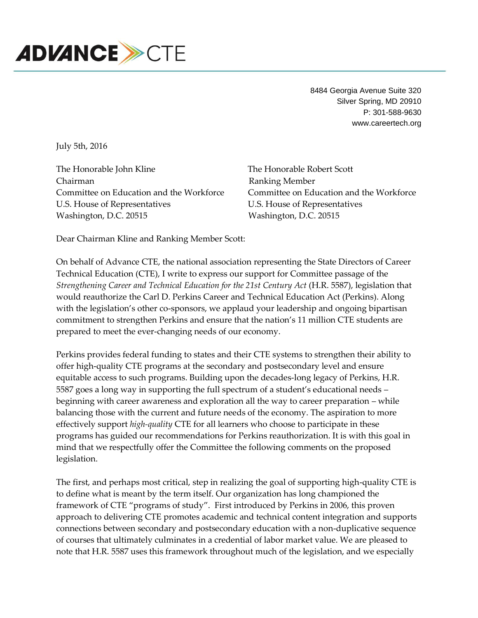

8484 Georgia Avenue Suite 320 Silver Spring, MD 20910 P: 301-588-9630 www.careertech.org

July 5th, 2016

The Honorable John Kline The Honorable Robert Scott Chairman Ranking Member Committee on Education and the Workforce Committee on Education and the Workforce U.S. House of Representatives U.S. House of Representatives Washington, D.C. 20515 Washington, D.C. 20515

Dear Chairman Kline and Ranking Member Scott:

On behalf of Advance CTE, the national association representing the State Directors of Career Technical Education (CTE), I write to express our support for Committee passage of the *Strengthening Career and Technical Education for the 21st Century Act* (H.R. 5587), legislation that would reauthorize the Carl D. Perkins Career and Technical Education Act (Perkins). Along with the legislation's other co-sponsors, we applaud your leadership and ongoing bipartisan commitment to strengthen Perkins and ensure that the nation's 11 million CTE students are prepared to meet the ever-changing needs of our economy.

Perkins provides federal funding to states and their CTE systems to strengthen their ability to offer high-quality CTE programs at the secondary and postsecondary level and ensure equitable access to such programs. Building upon the decades-long legacy of Perkins, H.R. 5587 goes a long way in supporting the full spectrum of a student's educational needs – beginning with career awareness and exploration all the way to career preparation – while balancing those with the current and future needs of the economy. The aspiration to more effectively support *high-quality* CTE for all learners who choose to participate in these programs has guided our recommendations for Perkins reauthorization. It is with this goal in mind that we respectfully offer the Committee the following comments on the proposed legislation.

The first, and perhaps most critical, step in realizing the goal of supporting high-quality CTE is to define what is meant by the term itself. Our organization has long championed the framework of CTE "programs of study". First introduced by Perkins in 2006, this proven approach to delivering CTE promotes academic and technical content integration and supports connections between secondary and postsecondary education with a non-duplicative sequence of courses that ultimately culminates in a credential of labor market value. We are pleased to note that H.R. 5587 uses this framework throughout much of the legislation, and we especially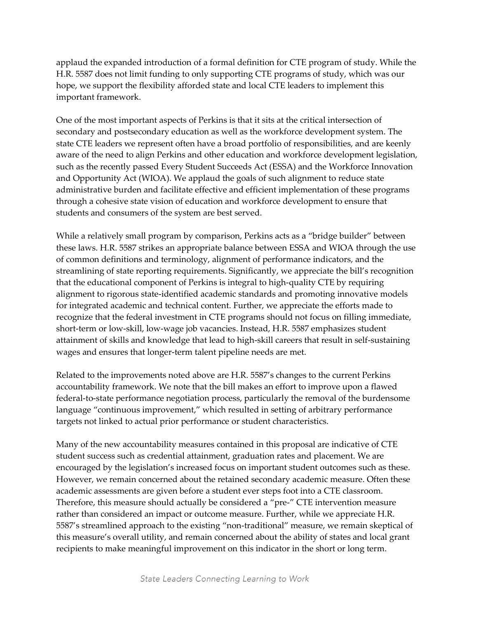applaud the expanded introduction of a formal definition for CTE program of study. While the H.R. 5587 does not limit funding to only supporting CTE programs of study, which was our hope, we support the flexibility afforded state and local CTE leaders to implement this important framework.

One of the most important aspects of Perkins is that it sits at the critical intersection of secondary and postsecondary education as well as the workforce development system. The state CTE leaders we represent often have a broad portfolio of responsibilities, and are keenly aware of the need to align Perkins and other education and workforce development legislation, such as the recently passed Every Student Succeeds Act (ESSA) and the Workforce Innovation and Opportunity Act (WIOA). We applaud the goals of such alignment to reduce state administrative burden and facilitate effective and efficient implementation of these programs through a cohesive state vision of education and workforce development to ensure that students and consumers of the system are best served.

While a relatively small program by comparison, Perkins acts as a "bridge builder" between these laws. H.R. 5587 strikes an appropriate balance between ESSA and WIOA through the use of common definitions and terminology, alignment of performance indicators, and the streamlining of state reporting requirements. Significantly, we appreciate the bill's recognition that the educational component of Perkins is integral to high-quality CTE by requiring alignment to rigorous state-identified academic standards and promoting innovative models for integrated academic and technical content. Further, we appreciate the efforts made to recognize that the federal investment in CTE programs should not focus on filling immediate, short-term or low-skill, low-wage job vacancies. Instead, H.R. 5587 emphasizes student attainment of skills and knowledge that lead to high-skill careers that result in self-sustaining wages and ensures that longer-term talent pipeline needs are met.

Related to the improvements noted above are H.R. 5587's changes to the current Perkins accountability framework. We note that the bill makes an effort to improve upon a flawed federal-to-state performance negotiation process, particularly the removal of the burdensome language "continuous improvement," which resulted in setting of arbitrary performance targets not linked to actual prior performance or student characteristics.

Many of the new accountability measures contained in this proposal are indicative of CTE student success such as credential attainment, graduation rates and placement. We are encouraged by the legislation's increased focus on important student outcomes such as these. However, we remain concerned about the retained secondary academic measure. Often these academic assessments are given before a student ever steps foot into a CTE classroom. Therefore, this measure should actually be considered a "pre-" CTE intervention measure rather than considered an impact or outcome measure. Further, while we appreciate H.R. 5587's streamlined approach to the existing "non-traditional" measure, we remain skeptical of this measure's overall utility, and remain concerned about the ability of states and local grant recipients to make meaningful improvement on this indicator in the short or long term.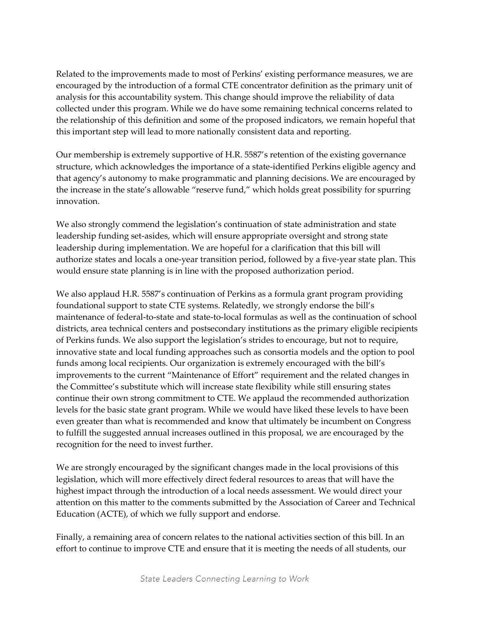Related to the improvements made to most of Perkins' existing performance measures, we are encouraged by the introduction of a formal CTE concentrator definition as the primary unit of analysis for this accountability system. This change should improve the reliability of data collected under this program. While we do have some remaining technical concerns related to the relationship of this definition and some of the proposed indicators, we remain hopeful that this important step will lead to more nationally consistent data and reporting.

Our membership is extremely supportive of H.R. 5587's retention of the existing governance structure, which acknowledges the importance of a state-identified Perkins eligible agency and that agency's autonomy to make programmatic and planning decisions. We are encouraged by the increase in the state's allowable "reserve fund," which holds great possibility for spurring innovation.

We also strongly commend the legislation's continuation of state administration and state leadership funding set-asides, which will ensure appropriate oversight and strong state leadership during implementation. We are hopeful for a clarification that this bill will authorize states and locals a one-year transition period, followed by a five-year state plan. This would ensure state planning is in line with the proposed authorization period.

We also applaud H.R. 5587's continuation of Perkins as a formula grant program providing foundational support to state CTE systems. Relatedly, we strongly endorse the bill's maintenance of federal-to-state and state-to-local formulas as well as the continuation of school districts, area technical centers and postsecondary institutions as the primary eligible recipients of Perkins funds. We also support the legislation's strides to encourage, but not to require, innovative state and local funding approaches such as consortia models and the option to pool funds among local recipients. Our organization is extremely encouraged with the bill's improvements to the current "Maintenance of Effort" requirement and the related changes in the Committee's substitute which will increase state flexibility while still ensuring states continue their own strong commitment to CTE. We applaud the recommended authorization levels for the basic state grant program. While we would have liked these levels to have been even greater than what is recommended and know that ultimately be incumbent on Congress to fulfill the suggested annual increases outlined in this proposal, we are encouraged by the recognition for the need to invest further.

We are strongly encouraged by the significant changes made in the local provisions of this legislation, which will more effectively direct federal resources to areas that will have the highest impact through the introduction of a local needs assessment. We would direct your attention on this matter to the comments submitted by the Association of Career and Technical Education (ACTE), of which we fully support and endorse.

Finally, a remaining area of concern relates to the national activities section of this bill. In an effort to continue to improve CTE and ensure that it is meeting the needs of all students, our